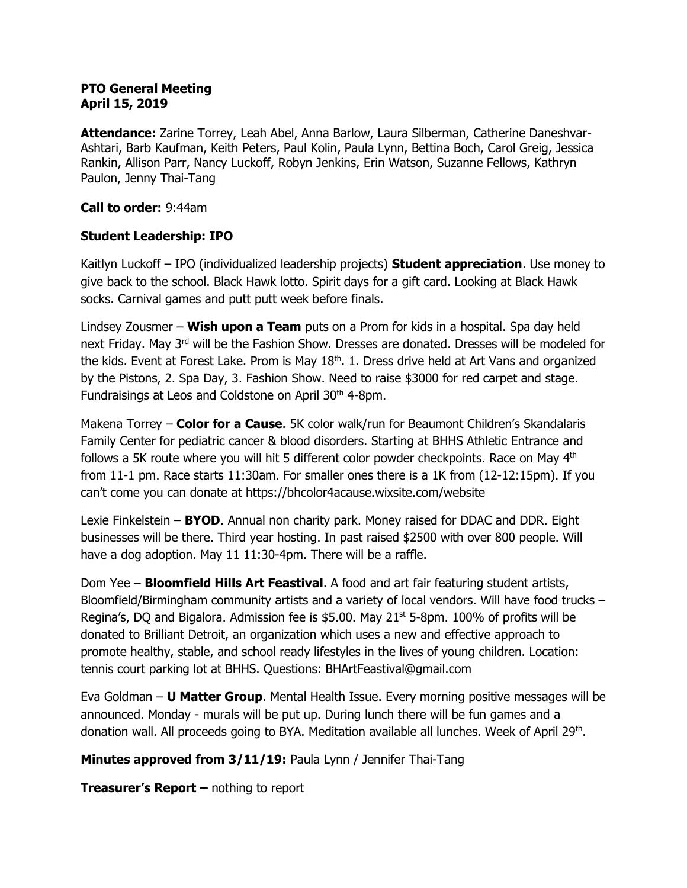#### **PTO General Meeting April 15, 2019**

**Attendance:** Zarine Torrey, Leah Abel, Anna Barlow, Laura Silberman, Catherine Daneshvar-Ashtari, Barb Kaufman, Keith Peters, Paul Kolin, Paula Lynn, Bettina Boch, Carol Greig, Jessica Rankin, Allison Parr, Nancy Luckoff, Robyn Jenkins, Erin Watson, Suzanne Fellows, Kathryn Paulon, Jenny Thai-Tang

#### **Call to order:** 9:44am

#### **Student Leadership: IPO**

Kaitlyn Luckoff – IPO (individualized leadership projects) **Student appreciation**. Use money to give back to the school. Black Hawk lotto. Spirit days for a gift card. Looking at Black Hawk socks. Carnival games and putt putt week before finals.

Lindsey Zousmer – **Wish upon a Team** puts on a Prom for kids in a hospital. Spa day held next Friday. May 3<sup>rd</sup> will be the Fashion Show. Dresses are donated. Dresses will be modeled for the kids. Event at Forest Lake. Prom is May 18<sup>th</sup>. 1. Dress drive held at Art Vans and organized by the Pistons, 2. Spa Day, 3. Fashion Show. Need to raise \$3000 for red carpet and stage. Fundraisings at Leos and Coldstone on April 30<sup>th</sup> 4-8pm.

Makena Torrey – **Color for a Cause**. 5K color walk/run for Beaumont Children's Skandalaris Family Center for pediatric cancer & blood disorders. Starting at BHHS Athletic Entrance and follows a 5K route where you will hit 5 different color powder checkpoints. Race on May  $4<sup>th</sup>$ from 11-1 pm. Race starts 11:30am. For smaller ones there is a 1K from (12-12:15pm). If you can't come you can donate at https://bhcolor4acause.wixsite.com/website

Lexie Finkelstein – **BYOD**. Annual non charity park. Money raised for DDAC and DDR. Eight businesses will be there. Third year hosting. In past raised \$2500 with over 800 people. Will have a dog adoption. May 11 11:30-4pm. There will be a raffle.

Dom Yee – **Bloomfield Hills Art Feastival**. A food and art fair featuring student artists, Bloomfield/Birmingham community artists and a variety of local vendors. Will have food trucks – Regina's, DO and Bigalora. Admission fee is \$5.00. May  $21<sup>st</sup>$  5-8pm. 100% of profits will be donated to Brilliant Detroit, an organization which uses a new and effective approach to promote healthy, stable, and school ready lifestyles in the lives of young children. Location: tennis court parking lot at BHHS. Questions: BHArtFeastival@gmail.com

Eva Goldman – **U Matter Group**. Mental Health Issue. Every morning positive messages will be announced. Monday - murals will be put up. During lunch there will be fun games and a donation wall. All proceeds going to BYA. Meditation available all lunches. Week of April 29<sup>th</sup>.

**Minutes approved from 3/11/19:** Paula Lynn / Jennifer Thai-Tang

**Treasurer's Report –** nothing to report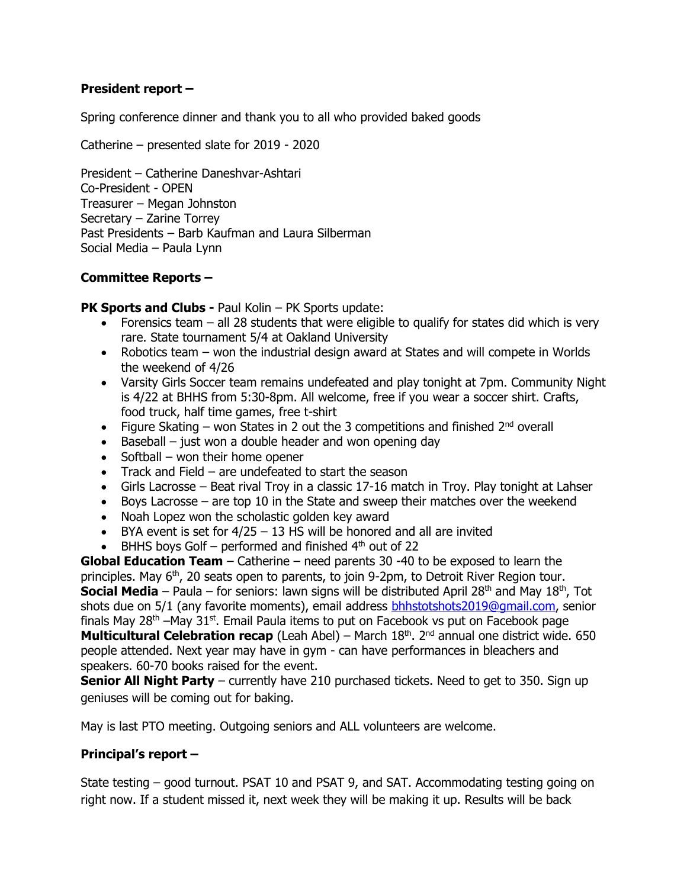# **President report –**

Spring conference dinner and thank you to all who provided baked goods

Catherine – presented slate for 2019 - 2020

President – Catherine Daneshvar-Ashtari Co-President - OPEN Treasurer – Megan Johnston Secretary – Zarine Torrey Past Presidents – Barb Kaufman and Laura Silberman Social Media – Paula Lynn

# **Committee Reports –**

**PK Sports and Clubs - Paul Kolin – PK Sports update:** 

- Forensics team  $-$  all 28 students that were eligible to qualify for states did which is very rare. State tournament 5/4 at Oakland University
- Robotics team won the industrial design award at States and will compete in Worlds the weekend of 4/26
- Varsity Girls Soccer team remains undefeated and play tonight at 7pm. Community Night is 4/22 at BHHS from 5:30-8pm. All welcome, free if you wear a soccer shirt. Crafts, food truck, half time games, free t-shirt
- Figure Skating won States in 2 out the 3 competitions and finished  $2^{nd}$  overall
- $\bullet$  Baseball just won a double header and won opening day
- $\bullet$  Softball won their home opener
- Track and Field are undefeated to start the season
- Girls Lacrosse Beat rival Troy in a classic 17-16 match in Troy. Play tonight at Lahser
- Boys Lacrosse are top 10 in the State and sweep their matches over the weekend
- Noah Lopez won the scholastic golden key award
- $\bullet$  BYA event is set for 4/25 13 HS will be honored and all are invited
- $\bullet$  BHHS boys Golf performed and finished  $4<sup>th</sup>$  out of 22

**Global Education Team** – Catherine – need parents 30 -40 to be exposed to learn the principles. May 6<sup>th</sup>, 20 seats open to parents, to join 9-2pm, to Detroit River Region tour. **Social Media** – Paula – for seniors: lawn signs will be distributed April 28<sup>th</sup> and May 18<sup>th</sup>, Tot shots due on 5/1 (any favorite moments), email address [bhhstotshots2019@gmail.com,](mailto:bhhstotshots2019@gmail.com) senior finals May  $28<sup>th</sup>$  –May  $31<sup>st</sup>$ . Email Paula items to put on Facebook vs put on Facebook page **Multicultural Celebration recap** (Leah Abel) – March 18<sup>th</sup>. 2<sup>nd</sup> annual one district wide. 650 people attended. Next year may have in gym - can have performances in bleachers and speakers. 60-70 books raised for the event.

**Senior All Night Party** – currently have 210 purchased tickets. Need to get to 350. Sign up geniuses will be coming out for baking.

May is last PTO meeting. Outgoing seniors and ALL volunteers are welcome.

# **Principal's report –**

State testing – good turnout. PSAT 10 and PSAT 9, and SAT. Accommodating testing going on right now. If a student missed it, next week they will be making it up. Results will be back